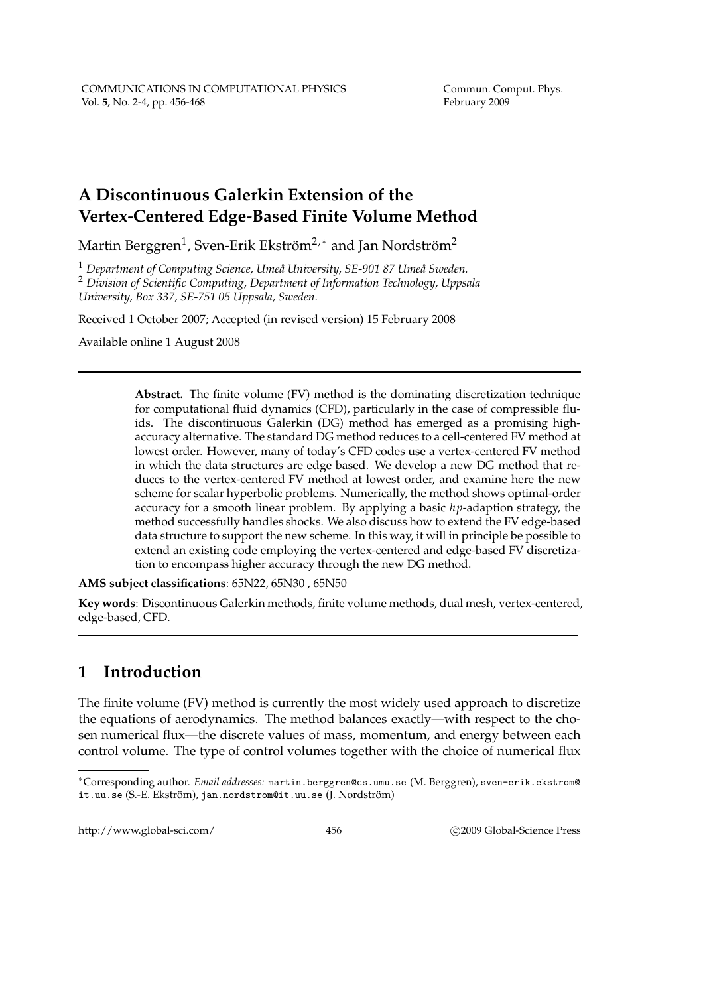# **A Discontinuous Galerkin Extension of the Vertex-Centered Edge-Based Finite Volume Method**

Martin Berggren $^1$ , Sven-Erik Ekström $^{2,*}$  and Jan Nordström $^2$ 

<sup>1</sup> Department of Computing Science, Umeå University, SE-901 87 Umeå Sweden.

<sup>2</sup> *Division of Scientific Computing, Department of Information Technology, Uppsala University, Box 337, SE-751 05 Uppsala, Sweden.*

Received 1 October 2007; Accepted (in revised version) 15 February 2008

Available online 1 August 2008

**Abstract.** The finite volume (FV) method is the dominating discretization technique for computational fluid dynamics (CFD), particularly in the case of compressible fluids. The discontinuous Galerkin (DG) method has emerged as a promising highaccuracy alternative. The standard DG method reduces to a cell-centered FV method at lowest order. However, many of today's CFD codes use a vertex-centered FV method in which the data structures are edge based. We develop a new DG method that reduces to the vertex-centered FV method at lowest order, and examine here the new scheme for scalar hyperbolic problems. Numerically, the method shows optimal-order accuracy for a smooth linear problem. By applying a basic *hp*-adaption strategy, the method successfully handles shocks. We also discuss how to extend the FV edge-based data structure to support the new scheme. In this way, it will in principle be possible to extend an existing code employing the vertex-centered and edge-based FV discretization to encompass higher accuracy through the new DG method.

**AMS subject classifications**: 65N22, 65N30 , 65N50

**Key words**: Discontinuous Galerkin methods, finite volume methods, dual mesh, vertex-centered, edge-based, CFD.

# **1 Introduction**

The finite volume (FV) method is currently the most widely used approach to discretize the equations of aerodynamics. The method balances exactly—with respect to the chosen numerical flux—the discrete values of mass, momentum, and energy between each control volume. The type of control volumes together with the choice of numerical flux

http://www.global-sci.com/ 456 c 2009 Global-Science Press

<sup>∗</sup>Corresponding author. *Email addresses:* martin.berggren@cs.umu.se (M. Berggren), sven-erik.ekstrom@ it.uu.se (S.-E. Ekström), jan.nordstrom@it.uu.se (J. Nordström)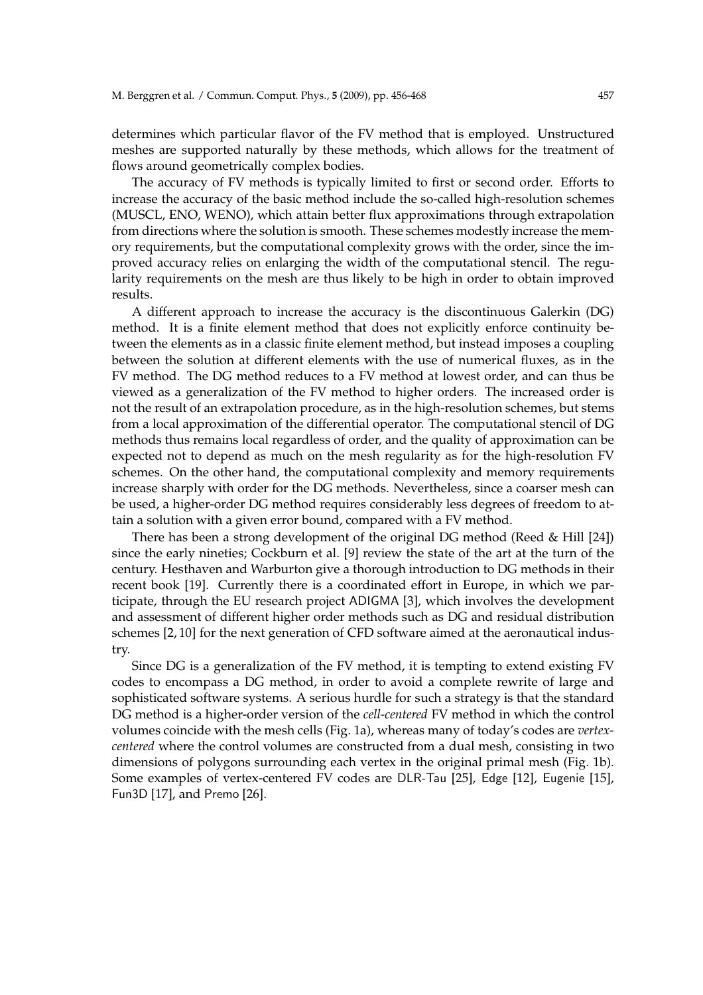determines which particular flavor of the FV method that is employed. Unstructured meshes are supported naturally by these methods, which allows for the treatment of flows around geometrically complex bodies.

The accuracy of FV methods is typically limited to first or second order. Efforts to increase the accuracy of the basic method include the so-called high-resolution schemes (MUSCL, ENO, WENO), which attain better flux approximations through extrapolation from directions where the solution is smooth. These schemes modestly increase the memory requirements, but the computational complexity grows with the order, since the improved accuracy relies on enlarging the width of the computational stencil. The regularity requirements on the mesh are thus likely to be high in order to obtain improved results.

A different approach to increase the accuracy is the discontinuous Galerkin (DG) method. It is a finite element method that does not explicitly enforce continuity between the elements as in a classic finite element method, but instead imposes a coupling between the solution at different elements with the use of numerical fluxes, as in the FV method. The DG method reduces to a FV method at lowest order, and can thus be viewed as a generalization of the FV method to higher orders. The increased order is not the result of an extrapolation procedure, as in the high-resolution schemes, but stems from a local approximation of the differential operator. The computational stencil of DG methods thus remains local regardless of order, and the quality of approximation can be expected not to depend as much on the mesh regularity as for the high-resolution FV schemes. On the other hand, the computational complexity and memory requirements increase sharply with order for the DG methods. Nevertheless, since a coarser mesh can be used, a higher-order DG method requires considerably less degrees of freedom to attain a solution with a given error bound, compared with a FV method.

There has been a strong development of the original DG method (Reed & Hill [24]) since the early nineties; Cockburn et al. [9] review the state of the art at the turn of the century. Hesthaven and Warburton give a thorough introduction to DG methods in their recent book [19]. Currently there is a coordinated effort in Europe, in which we participate, through the EU research project ADIGMA [3], which involves the development and assessment of different higher order methods such as DG and residual distribution schemes [2, 10] for the next generation of CFD software aimed at the aeronautical industry.

Since DG is a generalization of the FV method, it is tempting to extend existing FV codes to encompass a DG method, in order to avoid a complete rewrite of large and sophisticated software systems. A serious hurdle for such a strategy is that the standard DG method is a higher-order version of the *cell-centered* FV method in which the control volumes coincide with the mesh cells (Fig. 1a), whereas many of today's codes are *vertexcentered* where the control volumes are constructed from a dual mesh, consisting in two dimensions of polygons surrounding each vertex in the original primal mesh (Fig. 1b). Some examples of vertex-centered FV codes are DLR-Tau [25], Edge [12], Eugenie [15], Fun3D [17], and Premo [26].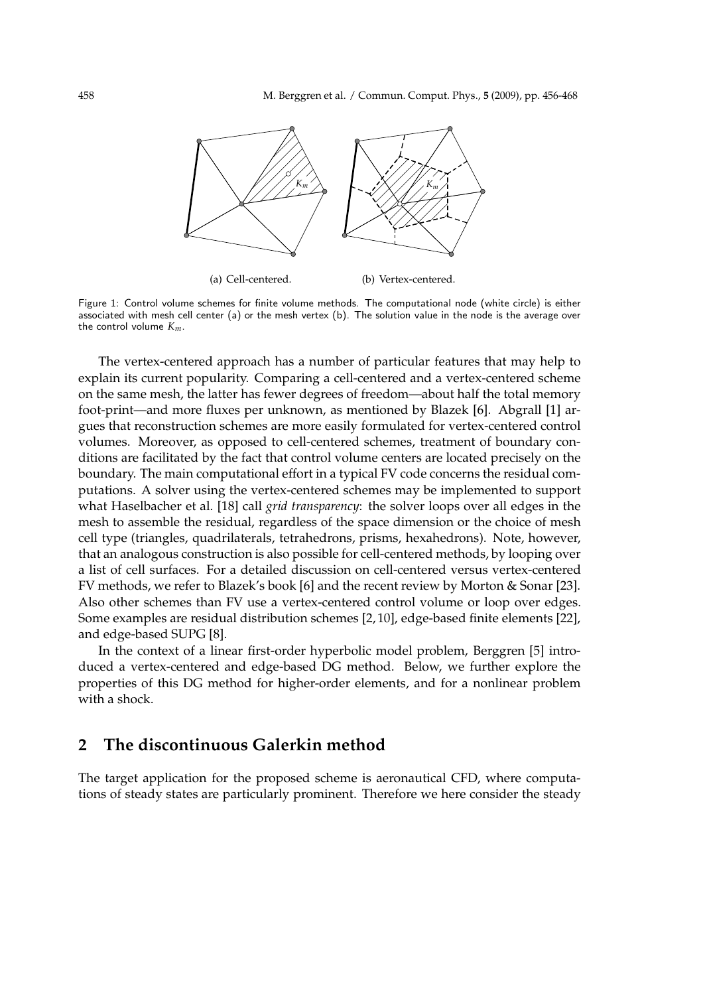

(a) Cell-centered.

(b) Vertex-centered.

Figure 1: Control volume schemes for finite volume methods. The computational node (white circle) is either associated with mesh cell center (a) or the mesh vertex (b). The solution value in the node is the average over the control volume *Km*.

The vertex-centered approach has a number of particular features that may help to explain its current popularity. Comparing a cell-centered and a vertex-centered scheme on the same mesh, the latter has fewer degrees of freedom—about half the total memory foot-print—and more fluxes per unknown, as mentioned by Blazek [6]. Abgrall [1] argues that reconstruction schemes are more easily formulated for vertex-centered control volumes. Moreover, as opposed to cell-centered schemes, treatment of boundary conditions are facilitated by the fact that control volume centers are located precisely on the boundary. The main computational effort in a typical FV code concerns the residual computations. A solver using the vertex-centered schemes may be implemented to support what Haselbacher et al. [18] call *grid transparency*: the solver loops over all edges in the mesh to assemble the residual, regardless of the space dimension or the choice of mesh cell type (triangles, quadrilaterals, tetrahedrons, prisms, hexahedrons). Note, however, that an analogous construction is also possible for cell-centered methods, by looping over a list of cell surfaces. For a detailed discussion on cell-centered versus vertex-centered FV methods, we refer to Blazek's book [6] and the recent review by Morton & Sonar [23]. Also other schemes than FV use a vertex-centered control volume or loop over edges. Some examples are residual distribution schemes [2, 10], edge-based finite elements [22], and edge-based SUPG [8].

In the context of a linear first-order hyperbolic model problem, Berggren [5] introduced a vertex-centered and edge-based DG method. Below, we further explore the properties of this DG method for higher-order elements, and for a nonlinear problem with a shock.

# **2 The discontinuous Galerkin method**

The target application for the proposed scheme is aeronautical CFD, where computations of steady states are particularly prominent. Therefore we here consider the steady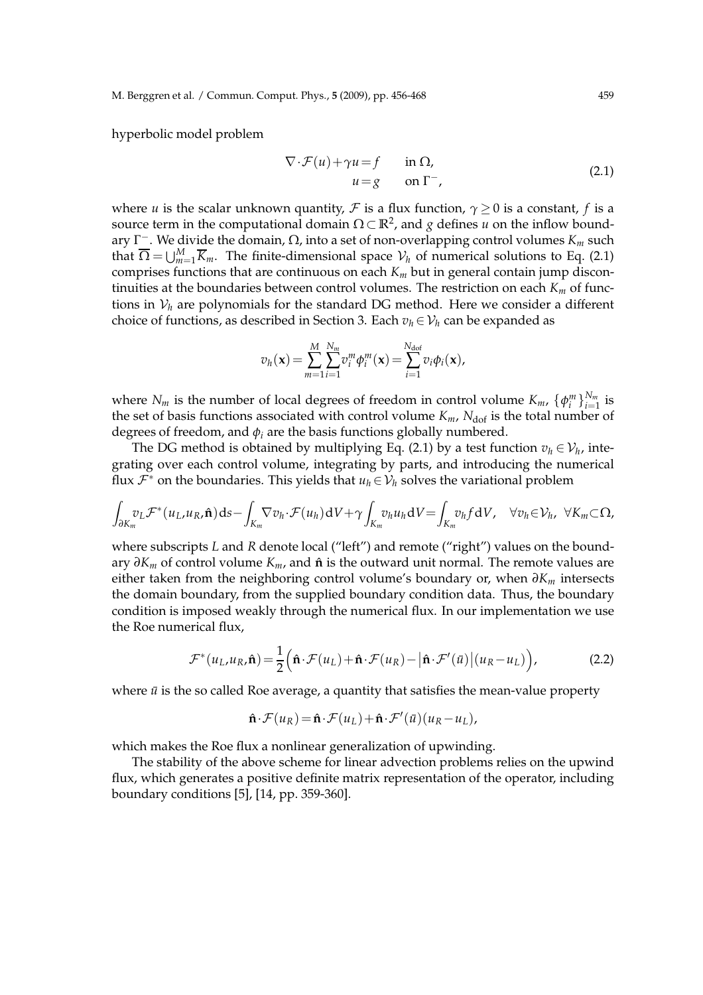M. Berggren et al. / Commun. Comput. Phys., **5** (2009), pp. 456-468 459

hyperbolic model problem

$$
\nabla \cdot \mathcal{F}(u) + \gamma u = f \quad \text{in } \Omega,
$$
  
\n
$$
u = g \quad \text{on } \Gamma^-,
$$
\n(2.1)

where *u* is the scalar unknown quantity,  $\mathcal F$  is a flux function,  $\gamma \geq 0$  is a constant, *f* is a source term in the computational domain  $\Omega \subset \mathbb{R}^2$ , and *g* defines *u* on the inflow boundary Γ <sup>−</sup>. We divide the domain, Ω, into a set of non-overlapping control volumes *K<sup>m</sup>* such that  $\overline{\Omega} = \bigcup_{m=1}^{M} \overline{K}_m$ . The finite-dimensional space  $\mathcal{V}_h$  of numerical solutions to Eq. (2.1) comprises functions that are continuous on each  $K_m$  but in general contain jump discontinuities at the boundaries between control volumes. The restriction on each *K<sup>m</sup>* of functions in  $V_h$  are polynomials for the standard DG method. Here we consider a different choice of functions, as described in Section 3. Each  $v_h \in V_h$  can be expanded as

$$
v_h(\mathbf{x}) = \sum_{m=1}^M \sum_{i=1}^{N_m} v_i^m \phi_i^m(\mathbf{x}) = \sum_{i=1}^{N_{\text{dof}}} v_i \phi_i(\mathbf{x}),
$$

where  $N_m$  is the number of local degrees of freedom in control volume  $K_m$ ,  $\{\phi_i^m\}_{i=1}^{N_m}$  $\prod_{i=1}^{N_m}$  is the set of basis functions associated with control volume  $K_m$ ,  $N_{\text{dof}}$  is the total number of degrees of freedom, and  $\phi_i$  are the basis functions globally numbered.

The DG method is obtained by multiplying Eq. (2.1) by a test function  $v_h \in \mathcal{V}_h$ , integrating over each control volume, integrating by parts, and introducing the numerical flux  $\mathcal{F}^*$  on the boundaries. This yields that  $u_h \in \mathcal{V}_h$  solves the variational problem

$$
\int_{\partial K_m} v_L \mathcal{F}^*(u_L, u_R, \hat{\mathbf{n}}) ds - \int_{K_m} \nabla v_h \cdot \mathcal{F}(u_h) dV + \gamma \int_{K_m} v_h u_h dV = \int_{K_m} v_h f dV, \quad \forall v_h \in \mathcal{V}_h, \ \forall K_m \subset \Omega,
$$

where subscripts *L* and *R* denote local ("left") and remote ("right") values on the boundary *∂K<sup>m</sup>* of control volume *Km*, and ˆ**n** is the outward unit normal. The remote values are either taken from the neighboring control volume's boundary or, when  $\partial K_m$  intersects the domain boundary, from the supplied boundary condition data. Thus, the boundary condition is imposed weakly through the numerical flux. In our implementation we use the Roe numerical flux,

$$
\mathcal{F}^*(u_L, u_R, \hat{\mathbf{n}}) = \frac{1}{2} \Big( \hat{\mathbf{n}} \cdot \mathcal{F}(u_L) + \hat{\mathbf{n}} \cdot \mathcal{F}(u_R) - \big| \hat{\mathbf{n}} \cdot \mathcal{F}'(\bar{u}) \big| (u_R - u_L) \Big), \tag{2.2}
$$

where  $\bar{u}$  is the so called Roe average, a quantity that satisfies the mean-value property

$$
\hat{\mathbf{n}}\cdot\mathcal{F}(u_R) = \hat{\mathbf{n}}\cdot\mathcal{F}(u_L) + \hat{\mathbf{n}}\cdot\mathcal{F}'(\bar{u})(u_R - u_L),
$$

which makes the Roe flux a nonlinear generalization of upwinding.

The stability of the above scheme for linear advection problems relies on the upwind flux, which generates a positive definite matrix representation of the operator, including boundary conditions [5], [14, pp. 359-360].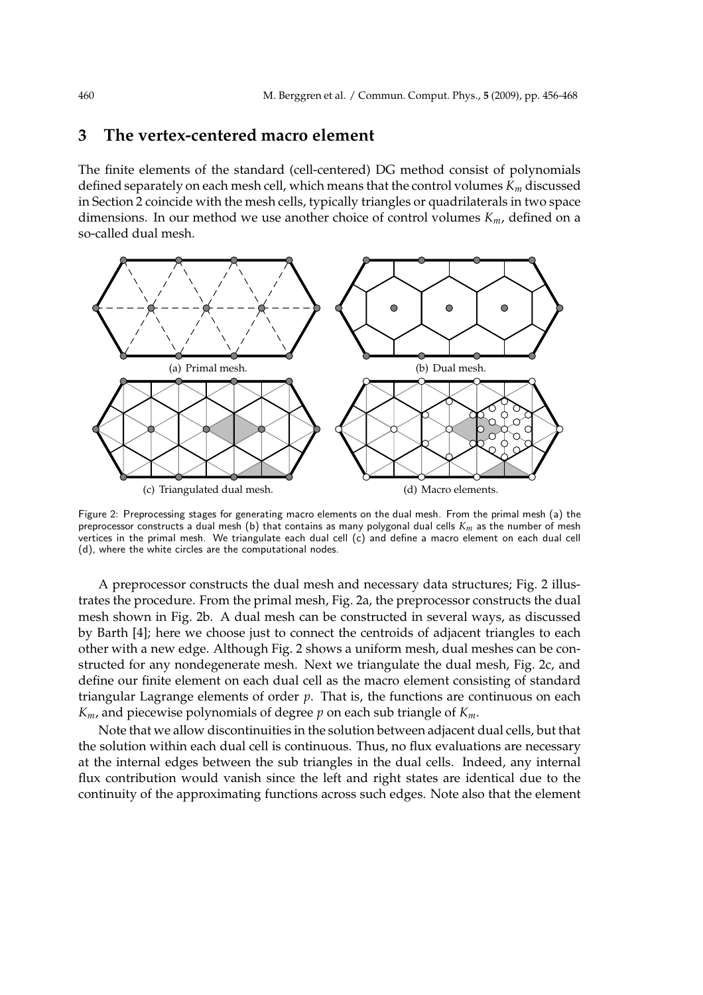## **3 The vertex-centered macro element**

The finite elements of the standard (cell-centered) DG method consist of polynomials defined separately on each mesh cell, which means that the control volumes *K<sup>m</sup>* discussed in Section 2 coincide with the mesh cells, typically triangles or quadrilaterals in two space dimensions. In our method we use another choice of control volumes *Km*, defined on a so-called dual mesh.



Figure 2: Preprocessing stages for generating macro elements on the dual mesh. From the primal mesh (a) the preprocessor constructs a dual mesh (b) that contains as many polygonal dual cells *Km* as the number of mesh vertices in the primal mesh. We triangulate each dual cell (c) and define a macro element on each dual cell (d), where the white circles are the computational nodes.

A preprocessor constructs the dual mesh and necessary data structures; Fig. 2 illustrates the procedure. From the primal mesh, Fig. 2a, the preprocessor constructs the dual mesh shown in Fig. 2b. A dual mesh can be constructed in several ways, as discussed by Barth [4]; here we choose just to connect the centroids of adjacent triangles to each other with a new edge. Although Fig. 2 shows a uniform mesh, dual meshes can be constructed for any nondegenerate mesh. Next we triangulate the dual mesh, Fig. 2c, and define our finite element on each dual cell as the macro element consisting of standard triangular Lagrange elements of order *p*. That is, the functions are continuous on each *Km*, and piecewise polynomials of degree *p* on each sub triangle of *Km*.

Note that we allow discontinuities in the solution between adjacent dual cells, but that the solution within each dual cell is continuous. Thus, no flux evaluations are necessary at the internal edges between the sub triangles in the dual cells. Indeed, any internal flux contribution would vanish since the left and right states are identical due to the continuity of the approximating functions across such edges. Note also that the element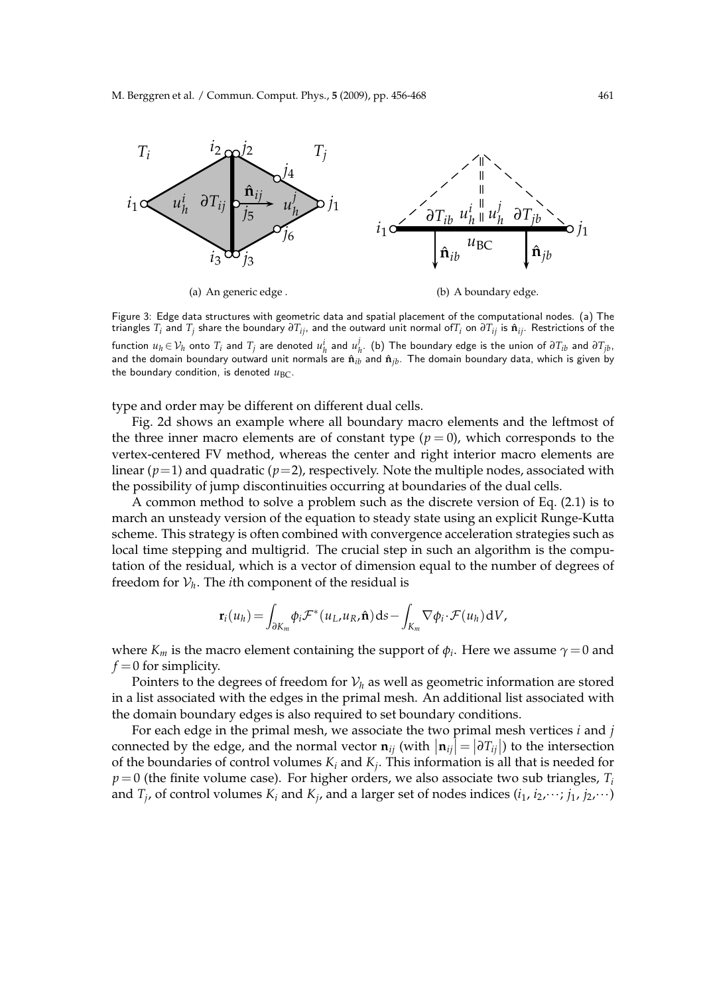

Figure 3: Edge data structures with geometric data and spatial placement of the computational nodes. (a) The triangles *T<sup>i</sup>* and *T<sup>j</sup>* share the boundary *∂Tij*, and the outward unit normal of*T<sup>i</sup>* on *∂Tij* is **n**ˆ *ij*. Restrictions of the function  $u_h \in \mathcal{V}_h$  onto  $T_i$  and  $T_j$  are denoted  $u_h^i$  and  $u_l^j$  $\mathcal{F}_h$ . (b) The boundary edge is the union of  $\partial T_{ib}$  and  $\partial T_{jb}$ , and the domain boundary outward unit normals are  $\hat{\bf n}_{ib}$  and  $\hat{\bf n}_{jb}$ . The domain boundary data, which is given by the boundary condition, is denoted  $u_{BC}$ .

type and order may be different on different dual cells.

Fig. 2d shows an example where all boundary macro elements and the leftmost of the three inner macro elements are of constant type  $(p = 0)$ , which corresponds to the vertex-centered FV method, whereas the center and right interior macro elements are linear  $(p=1)$  and quadratic  $(p=2)$ , respectively. Note the multiple nodes, associated with the possibility of jump discontinuities occurring at boundaries of the dual cells.

A common method to solve a problem such as the discrete version of Eq. (2.1) is to march an unsteady version of the equation to steady state using an explicit Runge-Kutta scheme. This strategy is often combined with convergence acceleration strategies such as local time stepping and multigrid. The crucial step in such an algorithm is the computation of the residual, which is a vector of dimension equal to the number of degrees of freedom for  $\mathcal{V}_h$ . The *i*th component of the residual is

$$
\mathbf{r}_i(u_h) = \int_{\partial K_m} \phi_i \mathcal{F}^*(u_L, u_R, \hat{\mathbf{n}}) \, \mathrm{d} s - \int_{K_m} \nabla \phi_i \cdot \mathcal{F}(u_h) \, \mathrm{d} V,
$$

where  $K_m$  is the macro element containing the support of  $\phi_i$ . Here we assume  $\gamma = 0$  and  $f = 0$  for simplicity.

Pointers to the degrees of freedom for  $V_h$  as well as geometric information are stored in a list associated with the edges in the primal mesh. An additional list associated with the domain boundary edges is also required to set boundary conditions.

For each edge in the primal mesh, we associate the two primal mesh vertices *i* and *j* connected by the edge, and the normal vector  $\mathbf{n}_{ij}$  (with  $|\mathbf{n}_{ij}| = |\partial T_{ij}|$ ) to the intersection of the boundaries of control volumes *K<sup>i</sup>* and *K<sup>j</sup>* . This information is all that is needed for *p*=0 (the finite volume case). For higher orders, we also associate two sub triangles, *T<sup>i</sup>* and  $T_j$ , of control volumes  $K_i$  and  $K_j$ , and a larger set of nodes indices  $(i_1, i_2, \dots; j_1, j_2, \dots)$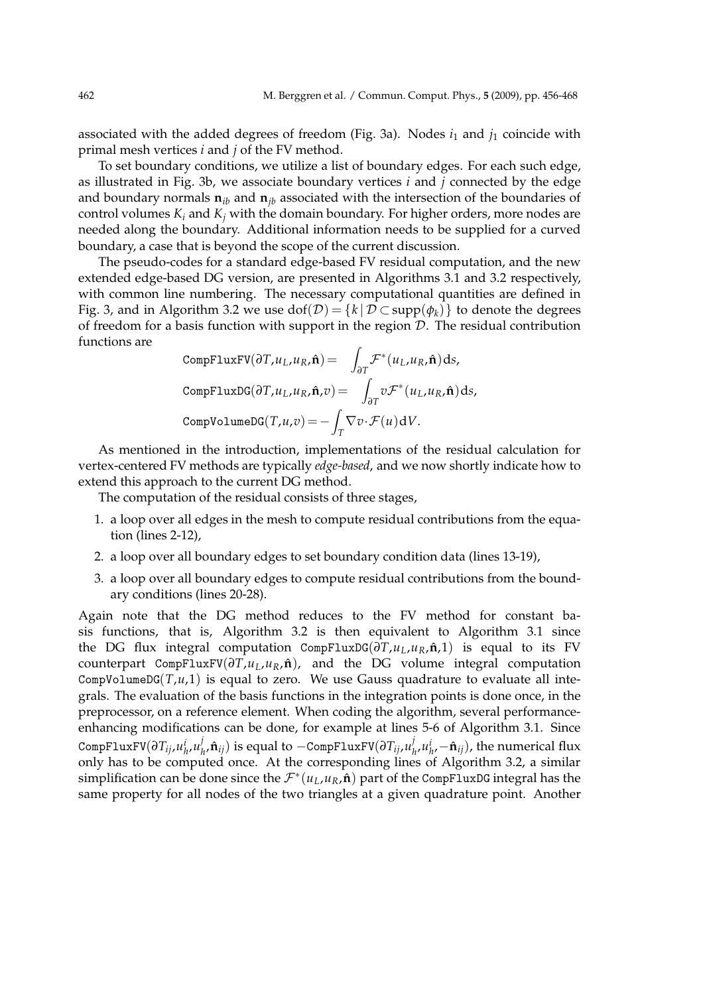associated with the added degrees of freedom (Fig. 3a). Nodes *i*<sup>1</sup> and *j*<sup>1</sup> coincide with primal mesh vertices *i* and *j* of the FV method.

To set boundary conditions, we utilize a list of boundary edges. For each such edge, as illustrated in Fig. 3b, we associate boundary vertices *i* and *j* connected by the edge and boundary normals  $\mathbf{n}_{ib}$  and  $\mathbf{n}_{ib}$  associated with the intersection of the boundaries of control volumes  $K_i$  and  $K_j$  with the domain boundary. For higher orders, more nodes are needed along the boundary. Additional information needs to be supplied for a curved boundary, a case that is beyond the scope of the current discussion.

The pseudo-codes for a standard edge-based FV residual computation, and the new extended edge-based DG version, are presented in Algorithms 3.1 and 3.2 respectively, with common line numbering. The necessary computational quantities are defined in Fig. 3, and in Algorithm 3.2 we use  $\text{dof}(\mathcal{D}) = \{k | \mathcal{D} \subset \text{supp}(\phi_k)\}\$ to denote the degrees of freedom for a basis function with support in the region  $D$ . The residual contribution functions are

CompFluxFV(
$$
\partial T, u_L, u_R, \hat{\mathbf{n}}
$$
) =  $\int_{\partial T} \mathcal{F}^*(u_L, u_R, \hat{\mathbf{n}}) ds$ ,  
CompFluxDG( $\partial T, u_L, u_R, \hat{\mathbf{n}}, v$ ) =  $\int_{\partial T} v \mathcal{F}^*(u_L, u_R, \hat{\mathbf{n}}) ds$ ,  
CompVolumeDG $(T, u, v)$  =  $-\int_T \nabla v \cdot \mathcal{F}(u) dV$ .

As mentioned in the introduction, implementations of the residual calculation for vertex-centered FV methods are typically *edge-based*, and we now shortly indicate how to extend this approach to the current DG method.

The computation of the residual consists of three stages,

- 1. a loop over all edges in the mesh to compute residual contributions from the equation (lines 2-12),
- 2. a loop over all boundary edges to set boundary condition data (lines 13-19),
- 3. a loop over all boundary edges to compute residual contributions from the boundary conditions (lines 20-28).

Again note that the DG method reduces to the FV method for constant basis functions, that is, Algorithm 3.2 is then equivalent to Algorithm 3.1 since the DG flux integral computation CompFluxDG( $\partial T, u_L, u_R, \hat{\bf{n}}$ ,1) is equal to its FV counterpart CompFluxFV(*∂T*,*uL*,*uR*, ˆ**n**), and the DG volume integral computation CompVolumeDG( $T, u, 1$ ) is equal to zero. We use Gauss quadrature to evaluate all integrals. The evaluation of the basis functions in the integration points is done once, in the preprocessor, on a reference element. When coding the algorithm, several performanceenhancing modifications can be done, for example at lines 5-6 of Algorithm 3.1. Since  $\texttt{CompFluxFV}(\partial T_{ij}, \mu^i_h, \mu^j_h)$  $\hat{h}_h^j$ , $\hat{\mathbf{n}}_{ij}$ ) is equal to −CompFluxFV( $\partial T_{ij}$ , $u^j_h$  $\hat{u}_h^j$ , $u_{h'}^i$ – $\hat{\mathbf{n}}_{ij}$ ), the numerical flux only has to be computed once. At the corresponding lines of Algorithm 3.2, a similar simplification can be done since the  $\mathcal{F}^*(u_L, u_R, \hat{\mathbf{n}})$  part of the CompFluxDG integral has the same property for all nodes of the two triangles at a given quadrature point. Another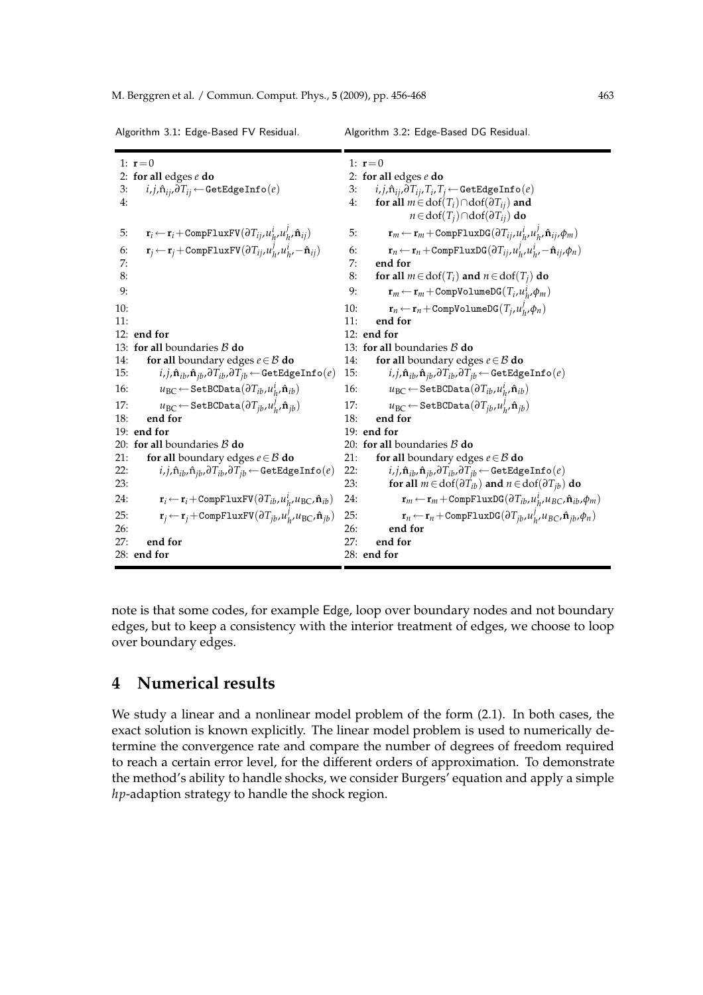|     | 1: $r = 0$                                                                                                           |     | 1: $r = 0$                                                                                                                |
|-----|----------------------------------------------------------------------------------------------------------------------|-----|---------------------------------------------------------------------------------------------------------------------------|
|     | 2: for all edges $e$ do                                                                                              |     | 2: for all edges $e$ do                                                                                                   |
| 3:  | $i,j,\mathbf{\hat{n}}_{ij},\partial T_{ij} \leftarrow \texttt{GetEdgeInfo}(e)$                                       | 3:  | $i, j, \hat{n}_{ij}, \partial T_{ij}, T_i, T_j \leftarrow \texttt{GetEdgeInfo}(e)$                                        |
| 4:  |                                                                                                                      | 4:  | for all $m \in$ dof $(T_i) \cap$ dof $(\partial T_{ij})$ and                                                              |
|     |                                                                                                                      |     | $n \in \text{dof}(T_i) \cap \text{dof}(\partial T_{ii})$ do                                                               |
| 5:  | $\mathbf{r}_i \leftarrow \mathbf{r}_i + \text{CompFluxFV}(\partial T_{ij}, u_h^i, u_h^j, \hat{\mathbf{n}}_{ij})$     | 5:  | $\mathbf{r}_m \leftarrow \mathbf{r}_m + \text{CompFluxDG}(\partial T_{ij}, u_h^i, u_h^j, \hat{\mathbf{n}}_{ij}, \phi_m)$  |
| 6:  | $\mathbf{r}_i \leftarrow \mathbf{r}_i + \text{CompFluxFV}(\partial T_{ij}, u_h^j, u_h^i, -\hat{\mathbf{n}}_{ij})$    | 6:  | $\mathbf{r}_n \leftarrow \mathbf{r}_n + \text{CompFluxDG}(\partial T_{ij}, u_h^j, u_h^i, -\hat{\mathbf{n}}_{ij}, \phi_n)$ |
| 7:  |                                                                                                                      | 7:  | end for                                                                                                                   |
| 8:  |                                                                                                                      | 8:  | for all $m \in \text{dof}(T_i)$ and $n \in \text{dof}(T_i)$ do                                                            |
| 9:  |                                                                                                                      | 9:  | $\mathbf{r}_m \leftarrow \mathbf{r}_m + \text{CompVolumeDG}(T_i, u_h^i, \phi_m)$                                          |
| 10: |                                                                                                                      | 10: | $\mathbf{r}_n \leftarrow \mathbf{r}_n + \text{CompVolumeDG}(T_i, u_h^j, \phi_n)$                                          |
| 11: |                                                                                                                      | 11: | end for                                                                                                                   |
|     | 12: end for                                                                                                          |     | 12: end for                                                                                                               |
|     | 13: for all boundaries $\beta$ do                                                                                    |     | 13: for all boundaries $\beta$ do                                                                                         |
| 14: | for all boundary edges $e \in \mathcal{B}$ do                                                                        | 14: | for all boundary edges $e \in \mathcal{B}$ do                                                                             |
| 15: | $i,j,\hat{\mathbf{n}}_{ib},\hat{\mathbf{n}}_{jb},\partial T_{ib},\partial T_{jb} \leftarrow \texttt{GetEdgeInfo}(e)$ | 15: | $i,j,\mathbf{\hat{n}}_{ib},\mathbf{\hat{n}}_{jb},\partial T_{ib},\partial T_{jb} \leftarrow \mathtt{GetEdgeInfo}(e)$      |
| 16: | $u_{BC} \leftarrow$ SetBCData $(\partial T_{ib}, u^i_h, \hat{\mathbf{n}}_{ib})$                                      | 16: | $u_{BC} \leftarrow$ Set BCData $(\partial T_{ib}, u^i_h, \hat{\mathbf{n}}_{ib})$                                          |
| 17: | $u_{BC} \leftarrow$ SetBCData $(\partial T_{ib}, u_h^j, \hat{\mathbf{n}}_{ib})$                                      | 17: | $u_{BC} \leftarrow$ Set BCData $(\partial T_{ib}, u_h^j, \hat{\mathbf{n}}_{ib})$                                          |
| 18: | end for                                                                                                              | 18: | end for                                                                                                                   |
|     | 19: end for                                                                                                          |     | $19:$ end for                                                                                                             |
|     | 20: for all boundaries $\beta$ do                                                                                    |     | 20: for all boundaries $\beta$ do                                                                                         |
| 21: | for all boundary edges $e \in \mathcal{B}$ do                                                                        | 21: | for all boundary edges $e \in \mathcal{B}$ do                                                                             |
| 22: | $i,j,\mathbf{\hat{n}}_{ib},\mathbf{\hat{n}}_{jb},\partial T_{ib},\partial T_{jb} \leftarrow \mathtt{GetEdgeInfo}(e)$ | 22: | $i,j,\mathbf{\hat{n}}_{ib},\mathbf{\hat{n}}_{jb},\partial T_{ib},\partial T_{jb} \leftarrow \mathtt{GetEdgeInfo}(e)$      |
| 23: |                                                                                                                      | 23: | for all $m \in \text{dof}(\partial T_{ib})$ and $n \in \text{dof}(\partial T_{ib})$ do                                    |
| 24: | $\mathbf{r}_i \leftarrow \mathbf{r}_i + \text{CompFluxFV}(\partial T_{ib}, u_h^i, u_{BC}, \hat{\mathbf{n}}_{ib})$    | 24: | $\mathbf{r}_m \leftarrow \mathbf{r}_m + \text{CompFluxDG}(\partial T_{ib}, u_h^i, u_{BC}, \hat{\mathbf{n}}_{ib}, \phi_m)$ |
| 25: | $\mathbf{r}_i \leftarrow \mathbf{r}_i + \text{CompFluxFV}(\partial T_{ib}, u^j_h, u_{BC}, \hat{\mathbf{n}}_{ib})$    | 25: | $\mathbf{r}_n \leftarrow \mathbf{r}_n + \text{CompFluxDG}(\partial T_{jb}, u_h^j, u_{BC}, \hat{\mathbf{n}}_{jb}, \phi_n)$ |
| 26: |                                                                                                                      | 26: | end for                                                                                                                   |
| 27: | end for                                                                                                              | 27: | end for                                                                                                                   |
|     | 28: end for                                                                                                          |     | 28: end for                                                                                                               |
|     |                                                                                                                      |     |                                                                                                                           |

note is that some codes, for example Edge, loop over boundary nodes and not boundary edges, but to keep a consistency with the interior treatment of edges, we choose to loop over boundary edges.

# **4 Numerical results**

We study a linear and a nonlinear model problem of the form (2.1). In both cases, the exact solution is known explicitly. The linear model problem is used to numerically determine the convergence rate and compare the number of degrees of freedom required to reach a certain error level, for the different orders of approximation. To demonstrate the method's ability to handle shocks, we consider Burgers' equation and apply a simple *hp*-adaption strategy to handle the shock region.

#### Algorithm 3.1: Edge-Based FV Residual.

Algorithm 3.2: Edge-Based DG Residual.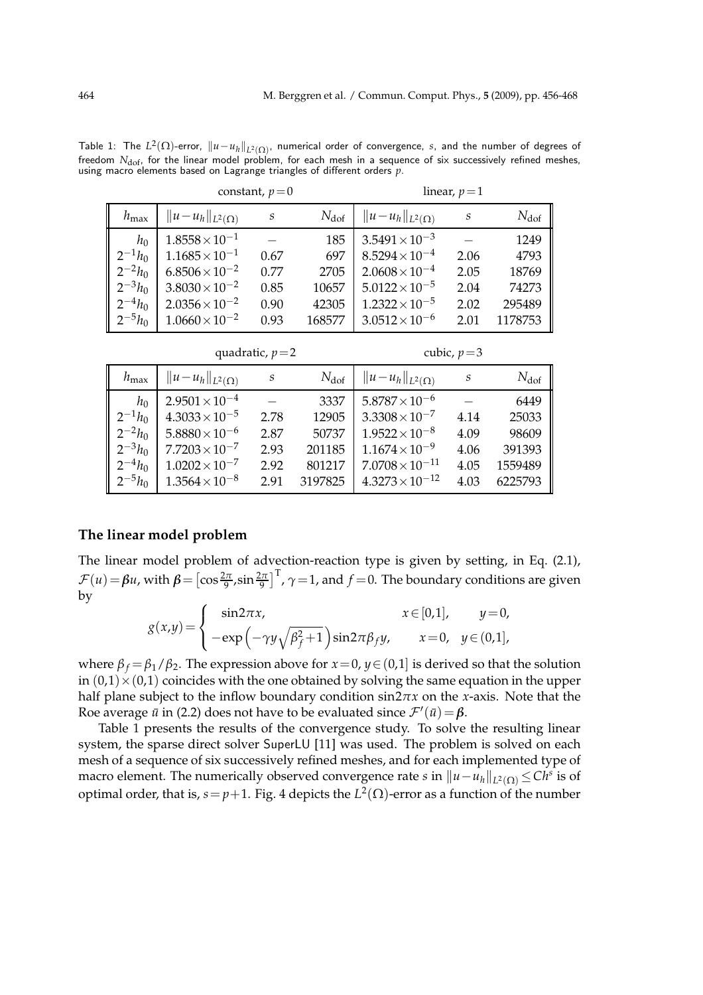Table 1: The  $L^2(\Omega)$ -error,  $\|u-u_h\|_{L^2(\Omega)}$ , numerical order of convergence, *s*, and the number of degrees of freedom *N*<sub>dof</sub>, for the linear model problem, for each mesh in a sequence of six successively refined meshes, using macro elements based on Lagrange triangles of different orders *p*.

|                  |                           | constant, $p=0$ | linear, $p=1$    |                           |      |               |
|------------------|---------------------------|-----------------|------------------|---------------------------|------|---------------|
| $h_{\text{max}}$ | $  u-u_h  _{L^2(\Omega)}$ | S               | $N_{\text{dof}}$ | $  u-u_h  _{L^2(\Omega)}$ | S    | $N_{\rm dof}$ |
| $h_0$            | $1.8558 \times 10^{-1}$   |                 | 185              | $3.5491 \times 10^{-3}$   |      | 1249          |
| $2^{-1}h_0$      | $1.1685 \times 10^{-1}$   | 0.67            | 697              | $8.5294 \times 10^{-4}$   | 2.06 | 4793          |
| $2^{-2}h_0$      | $6.8506 \times 10^{-2}$   | 0.77            | 2705             | $2.0608 \times 10^{-4}$   | 2.05 | 18769         |
| $2^{-3}h_0$      | $3.8030 \times 10^{-2}$   | 0.85            | 10657            | $5.0122 \times 10^{-5}$   | 2.04 | 74273         |
| $2^{-4}h_0$      | $2.0356 \times 10^{-2}$   | 0.90            | 42305            | $1.2322 \times 10^{-5}$   | 2.02 | 295489        |
| $2^{-5}h_0$      | $1.0660 \times 10^{-2}$   | 0.93            | 168577           | $3.0512 \times 10^{-6}$   | 2.01 | 1178753       |

quadratic,  $p=2$  cubic,  $p=3$ 

| $h_{\text{max}}$ | $  u-u_h  _{L^2(\Omega)}$ | S    | $N_{\rm dof}$ | $  u-u_h  _{L^2(\Omega)}$ | S    | $N_{\rm dof}$ |
|------------------|---------------------------|------|---------------|---------------------------|------|---------------|
| $h_0$            | $2.9501 \times 10^{-4}$   |      | 3337          | $5.8787 \times 10^{-6}$   |      | 6449          |
| $2^{-1}h_0$      | $4.3033 \times 10^{-5}$   | 2.78 | 12905         | $3.3308 \times 10^{-7}$   | 4.14 | 25033         |
| $2^{-2}h_0$      | $5.8880\times10^{-6}$     | 2.87 | 50737         | $1.9522 \times 10^{-8}$   | 4.09 | 98609         |
| $2^{-3}h_0$      | $7.7203 \times 10^{-7}$   | 2.93 | 201185        | $1.1674 \times 10^{-9}$   | 4.06 | 391393        |
| $2^{-4}h_0$      | $1.0202 \times 10^{-7}$   | 2.92 | 801217        | $7.0708 \times 10^{-11}$  | 4.05 | 1559489       |
| $2^{-5}h_0$      | $1.3564 \times 10^{-8}$   | 2.91 | 3197825       | $4.3273 \times 10^{-12}$  | 4.03 | 6225793       |

### **The linear model problem**

The linear model problem of advection-reaction type is given by setting, in Eq. (2.1),  $\mathcal{F}(u) = \beta u$ , with  $\beta = \left[\cos \frac{2\pi}{9}, \sin \frac{2\pi}{9}\right]^T$ ,  $\gamma = 1$ , and  $f = 0$ . The boundary conditions are given by

$$
g(x,y) = \begin{cases} \sin 2\pi x, & x \in [0,1], \quad y=0, \\ -\exp\left(-\gamma y\sqrt{\beta_f^2+1}\right)\sin 2\pi\beta_f y, & x=0, \quad y \in (0,1], \end{cases}
$$

where  $\beta_f = \beta_1/\beta_2$ . The expression above for  $x = 0$ ,  $y \in (0,1]$  is derived so that the solution in  $(0,1) \times (0,1)$  coincides with the one obtained by solving the same equation in the upper half plane subject to the inflow boundary condition sin2*πx* on the *x*-axis. Note that the Roe average  $\bar{u}$  in (2.2) does not have to be evaluated since  $\mathcal{F}'(\bar{u}) = \beta$ .

Table 1 presents the results of the convergence study. To solve the resulting linear system, the sparse direct solver SuperLU [11] was used. The problem is solved on each mesh of a sequence of six successively refined meshes, and for each implemented type of macro element. The numerically observed convergence rate *s* in  $\|u - u_h\|_{L^2(\Omega)} \leq C h^s$  is of optimal order, that is,  $s = p+1$ . Fig. 4 depicts the  $L^2(\Omega)$ -error as a function of the number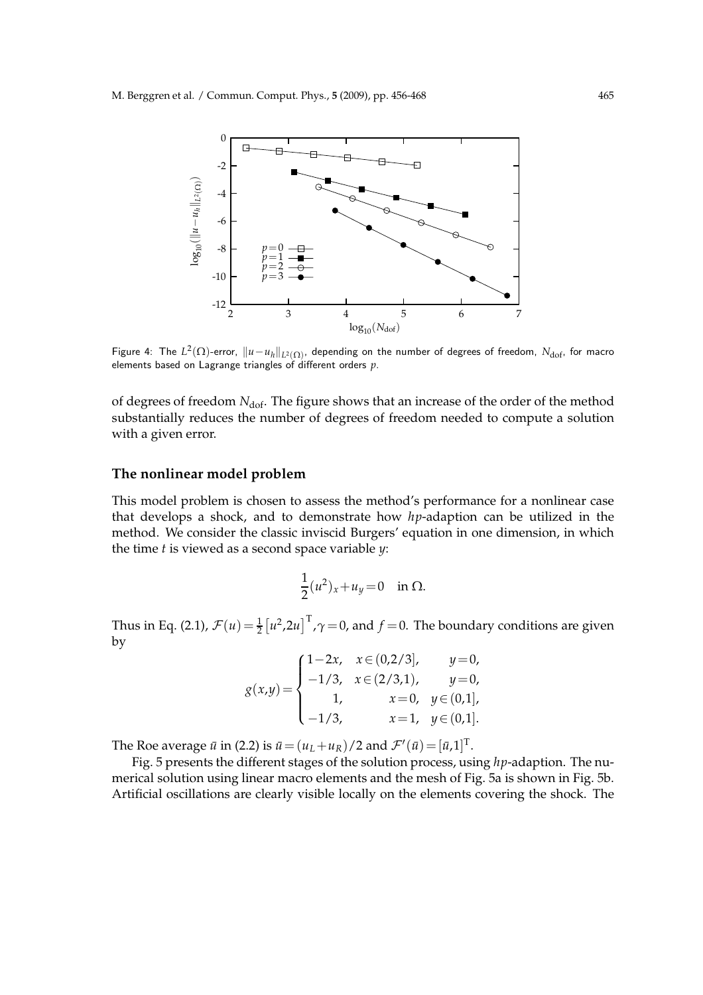

Figure 4: The  $L^2(\Omega)$ -error,  $\|u-u_h\|_{L^2(\Omega)}$ , depending on the number of degrees of freedom,  $N_{\rm dof}$ , for macro elements based on Lagrange triangles of different orders *p*.

of degrees of freedom N<sub>dof</sub>. The figure shows that an increase of the order of the method substantially reduces the number of degrees of freedom needed to compute a solution with a given error.

### **The nonlinear model problem**

This model problem is chosen to assess the method's performance for a nonlinear case that develops a shock, and to demonstrate how *hp*-adaption can be utilized in the method. We consider the classic inviscid Burgers' equation in one dimension, in which the time *t* is viewed as a second space variable *y*:

$$
\frac{1}{2}(u^2)_x+u_y=0 \quad \text{in } \Omega.
$$

Thus in Eq. (2.1),  $\mathcal{F}(u) = \frac{1}{2} \left[ u^2, 2u \right]^T$ ,  $\gamma = 0$ , and  $f = 0$ . The boundary conditions are given by

$$
g(x,y) = \begin{cases} 1-2x, & x \in (0,2/3], & y=0, \\ -1/3, & x \in (2/3,1), & y=0, \\ 1, & x=0, & y \in (0,1], \\ -1/3, & x=1, & y \in (0,1]. \end{cases}
$$

The Roe average  $\bar{u}$  in (2.2) is  $\bar{u} = (u_L + u_R)/2$  and  $\mathcal{F}'(\bar{u}) = [\bar{u}, 1]^T$ .

Fig. 5 presents the different stages of the solution process, using *hp*-adaption. The numerical solution using linear macro elements and the mesh of Fig. 5a is shown in Fig. 5b. Artificial oscillations are clearly visible locally on the elements covering the shock. The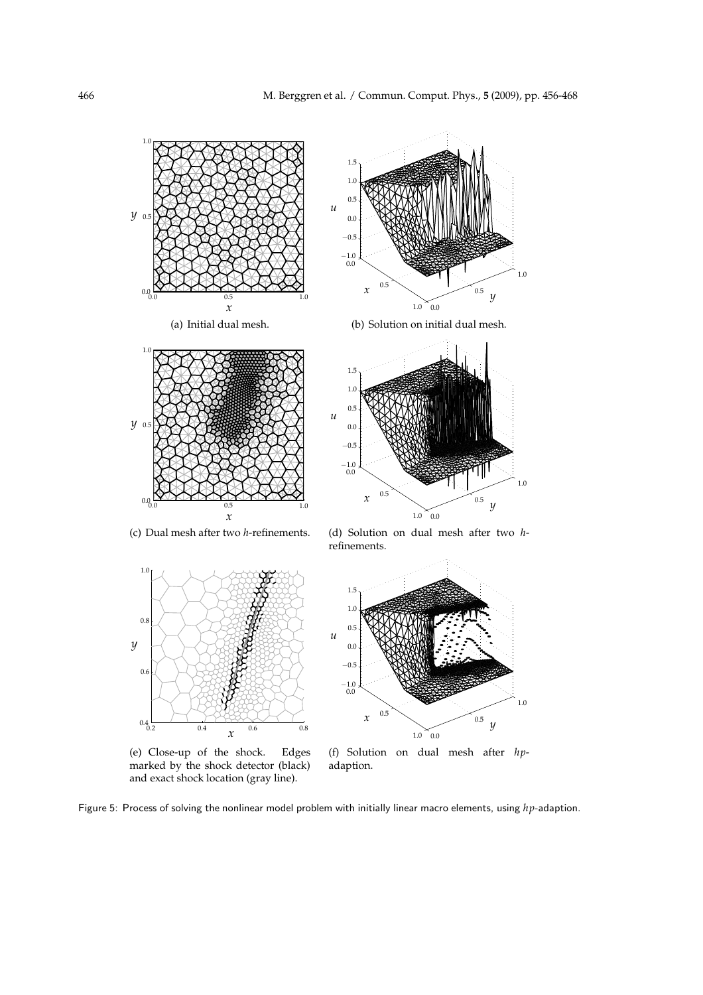

 $-1.0$ <br>0.0  $-0.5$ 

(e) Close-up of the shock. Edges marked by the shock detector (black) and exact shock location (gray line).

*x*

0.2 0.4 0.6 0.8

 $0.4$ 

0.6



(f) Solution on dual mesh after *hp*adaption.

Figure 5: Process of solving the nonlinear model problem with initially linear macro elements, using *hp*-adaption.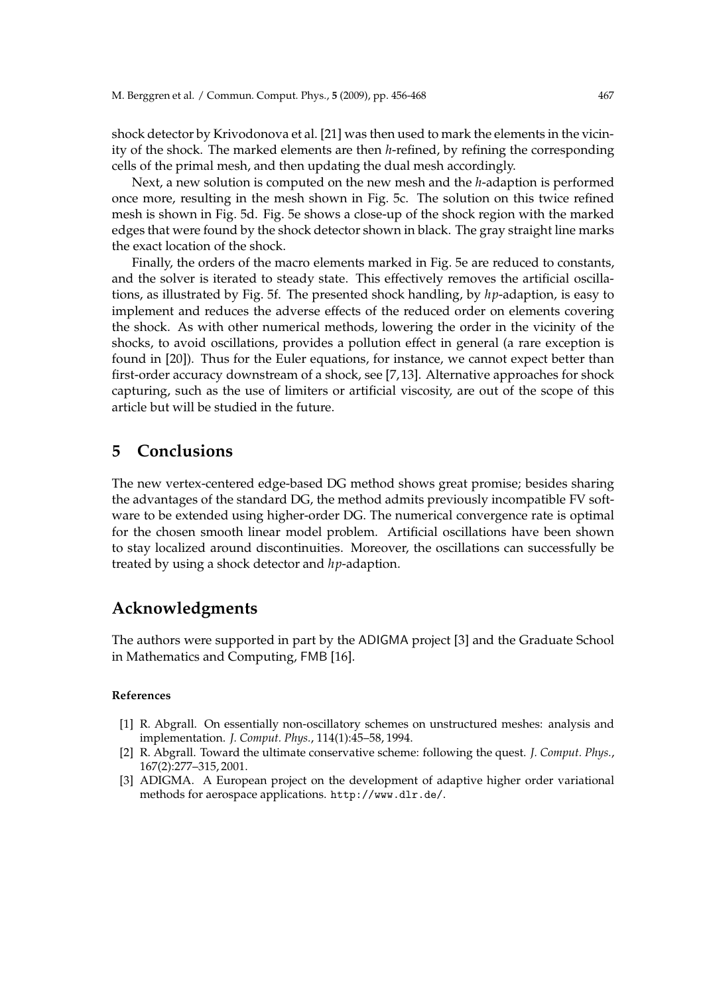shock detector by Krivodonova et al. [21] was then used to mark the elements in the vicinity of the shock. The marked elements are then *h*-refined, by refining the corresponding cells of the primal mesh, and then updating the dual mesh accordingly.

Next, a new solution is computed on the new mesh and the *h*-adaption is performed once more, resulting in the mesh shown in Fig. 5c. The solution on this twice refined mesh is shown in Fig. 5d. Fig. 5e shows a close-up of the shock region with the marked edges that were found by the shock detector shown in black. The gray straight line marks the exact location of the shock.

Finally, the orders of the macro elements marked in Fig. 5e are reduced to constants, and the solver is iterated to steady state. This effectively removes the artificial oscillations, as illustrated by Fig. 5f. The presented shock handling, by *hp*-adaption, is easy to implement and reduces the adverse effects of the reduced order on elements covering the shock. As with other numerical methods, lowering the order in the vicinity of the shocks, to avoid oscillations, provides a pollution effect in general (a rare exception is found in [20]). Thus for the Euler equations, for instance, we cannot expect better than first-order accuracy downstream of a shock, see [7, 13]. Alternative approaches for shock capturing, such as the use of limiters or artificial viscosity, are out of the scope of this article but will be studied in the future.

## **5 Conclusions**

The new vertex-centered edge-based DG method shows great promise; besides sharing the advantages of the standard DG, the method admits previously incompatible FV software to be extended using higher-order DG. The numerical convergence rate is optimal for the chosen smooth linear model problem. Artificial oscillations have been shown to stay localized around discontinuities. Moreover, the oscillations can successfully be treated by using a shock detector and *hp*-adaption.

# **Acknowledgments**

The authors were supported in part by the ADIGMA project [3] and the Graduate School in Mathematics and Computing, FMB [16].

#### **References**

- [1] R. Abgrall. On essentially non-oscillatory schemes on unstructured meshes: analysis and implementation. *J. Comput. Phys.*, 114(1):45–58, 1994.
- [2] R. Abgrall. Toward the ultimate conservative scheme: following the quest. *J. Comput. Phys.*, 167(2):277–315, 2001.
- [3] ADIGMA. A European project on the development of adaptive higher order variational methods for aerospace applications. http://www.dlr.de/.